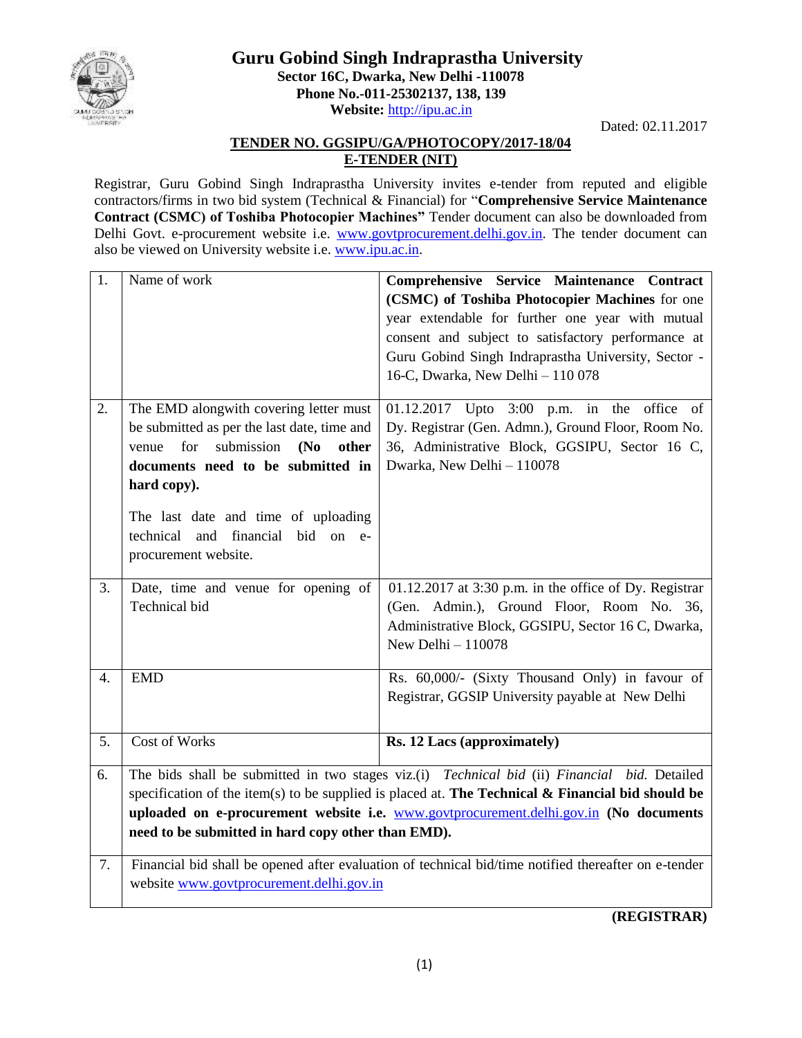

## **Guru Gobind Singh Indraprastha University Sector 16C, Dwarka, New Delhi -110078 Phone No.-011-25302137, 138, 139 Website:** [http://ipu.ac.in](http://ipu.ac.in/)

Dated: 02.11.2017

## **TENDER NO. GGSIPU/GA/PHOTOCOPY/2017-18/04 E-TENDER (NIT)**

Registrar, Guru Gobind Singh Indraprastha University invites e-tender from reputed and eligible contractors/firms in two bid system (Technical & Financial) for "**Comprehensive Service Maintenance Contract (CSMC) of Toshiba Photocopier Machines"** Tender document can also be downloaded from Delhi Govt. e-procurement website i.e. [www.govtprocurement.delhi.gov.in.](http://www.govtprocurement.delhi..gov.in/) The tender document can also be viewed on University website i.e. [www.ipu.ac.in.](http://www.ipu.ac.in/)

| $\overline{1}$ . | Name of work                                                                                                                                                                                                                                                                                                                                     | Comprehensive Service Maintenance Contract<br>(CSMC) of Toshiba Photocopier Machines for one<br>year extendable for further one year with mutual<br>consent and subject to satisfactory performance at<br>Guru Gobind Singh Indraprastha University, Sector -<br>16-C, Dwarka, New Delhi - 110 078 |  |  |
|------------------|--------------------------------------------------------------------------------------------------------------------------------------------------------------------------------------------------------------------------------------------------------------------------------------------------------------------------------------------------|----------------------------------------------------------------------------------------------------------------------------------------------------------------------------------------------------------------------------------------------------------------------------------------------------|--|--|
| 2.               | The EMD alongwith covering letter must<br>be submitted as per the last date, time and<br>submission<br>(N <sub>0</sub> )<br>for<br>other<br>venue<br>documents need to be submitted in<br>hard copy).<br>The last date and time of uploading<br>technical<br>and financial bid on e-<br>procurement website.                                     | 01.12.2017 Upto 3:00 p.m. in<br>office of<br>the<br>Dy. Registrar (Gen. Admn.), Ground Floor, Room No.<br>36, Administrative Block, GGSIPU, Sector 16 C,<br>Dwarka, New Delhi - 110078                                                                                                             |  |  |
| 3.               | Date, time and venue for opening of<br>Technical bid                                                                                                                                                                                                                                                                                             | $01.12.2017$ at 3:30 p.m. in the office of Dy. Registrar<br>(Gen. Admin.), Ground Floor, Room No. 36,<br>Administrative Block, GGSIPU, Sector 16 C, Dwarka,<br>New Delhi $-110078$                                                                                                                 |  |  |
| $\overline{4}$ . | <b>EMD</b>                                                                                                                                                                                                                                                                                                                                       | Rs. 60,000/- (Sixty Thousand Only) in favour of<br>Registrar, GGSIP University payable at New Delhi                                                                                                                                                                                                |  |  |
| 5.               | Cost of Works                                                                                                                                                                                                                                                                                                                                    | Rs. 12 Lacs (approximately)                                                                                                                                                                                                                                                                        |  |  |
| 6.               | The bids shall be submitted in two stages viz.(i) Technical bid (ii) Financial bid. Detailed<br>specification of the item(s) to be supplied is placed at. The Technical & Financial bid should be<br>uploaded on e-procurement website i.e. www.govtprocurement.delhi.gov.in (No documents<br>need to be submitted in hard copy other than EMD). |                                                                                                                                                                                                                                                                                                    |  |  |
| 7.               | Financial bid shall be opened after evaluation of technical bid/time notified thereafter on e-tender<br>website www.govtprocurement.delhi.gov.in                                                                                                                                                                                                 |                                                                                                                                                                                                                                                                                                    |  |  |

**(REGISTRAR)**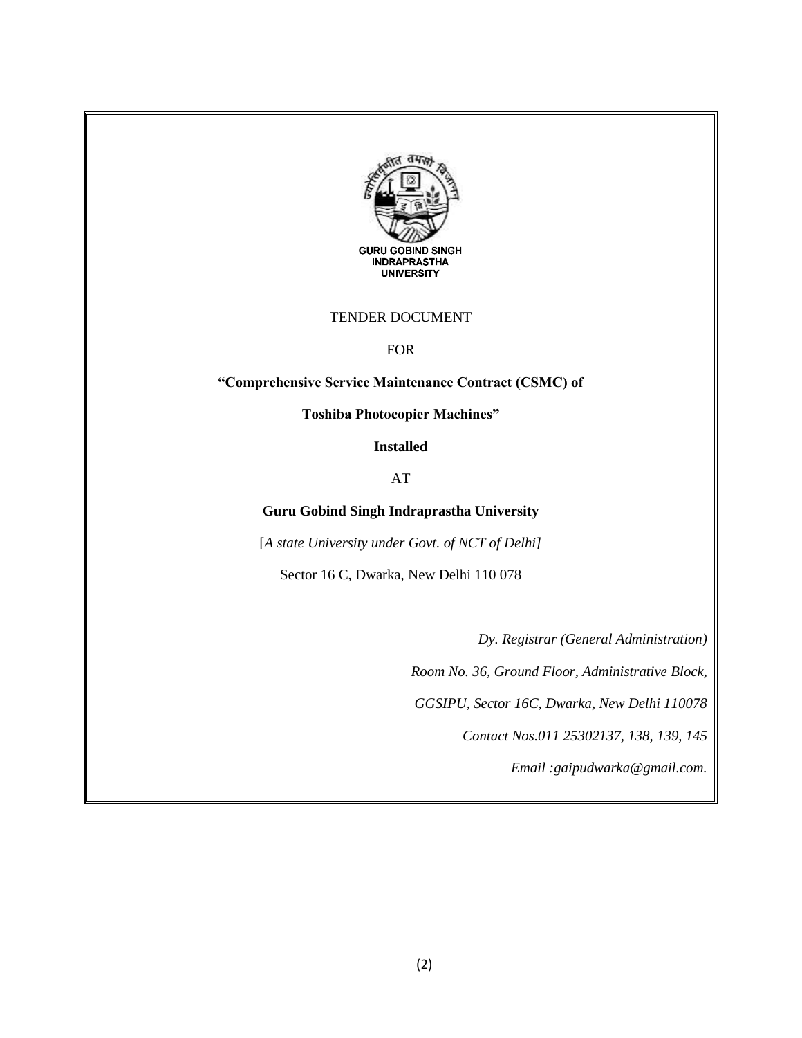

#### TENDER DOCUMENT

FOR

## **"Comprehensive Service Maintenance Contract (CSMC) of**

**Toshiba Photocopier Machines"**

**Installed** 

AT

#### **Guru Gobind Singh Indraprastha University**

[*A state University under Govt. of NCT of Delhi]*

Sector 16 C, Dwarka, New Delhi 110 078

*Dy. Registrar (General Administration)*

*Room No. 36, Ground Floor, Administrative Block,*

*GGSIPU, Sector 16C, Dwarka, New Delhi 110078*

*Contact Nos.011 25302137, 138, 139, 145*

*Email :gaipudwarka@gmail.com.*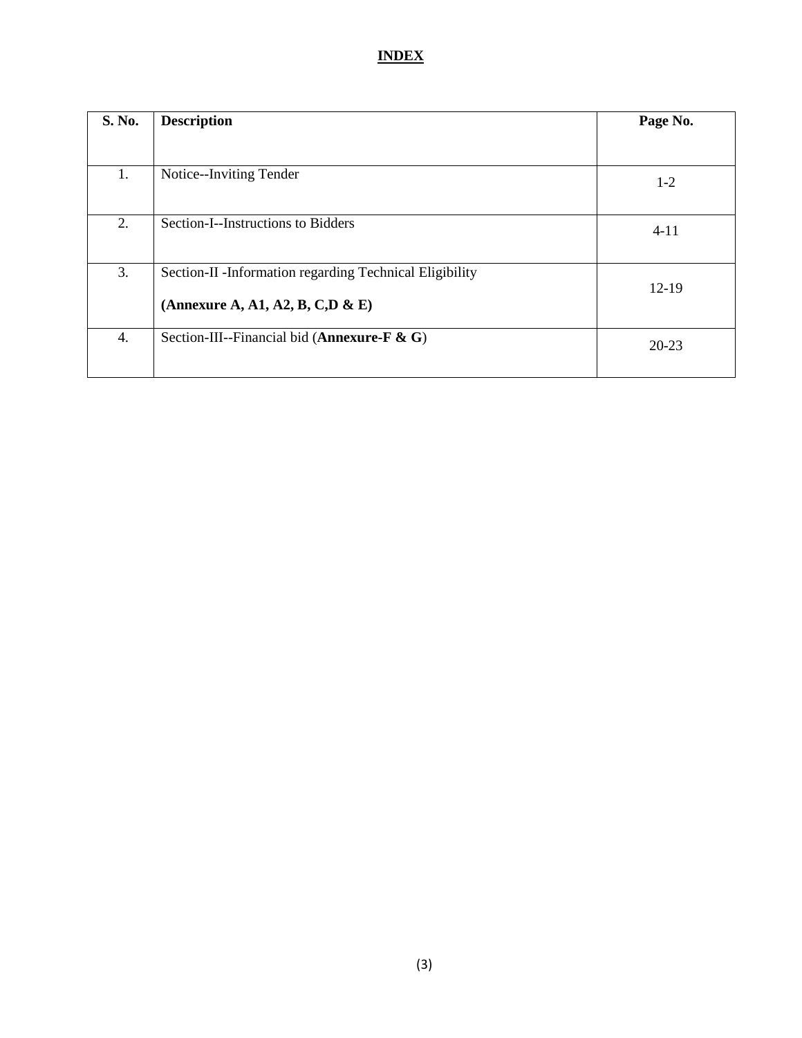## **INDEX**

| <b>S. No.</b> | <b>Description</b>                                                                          | Page No.  |
|---------------|---------------------------------------------------------------------------------------------|-----------|
|               |                                                                                             |           |
| 1.            | Notice--Inviting Tender                                                                     | $1-2$     |
| 2.            | Section-I--Instructions to Bidders                                                          | $4 - 11$  |
| 3.            | Section-II -Information regarding Technical Eligibility<br>(Annexure A, A1, A2, B, C,D & E) | $12-19$   |
| 4.            | Section-III--Financial bid (Annexure-F $\&$ G)                                              | $20 - 23$ |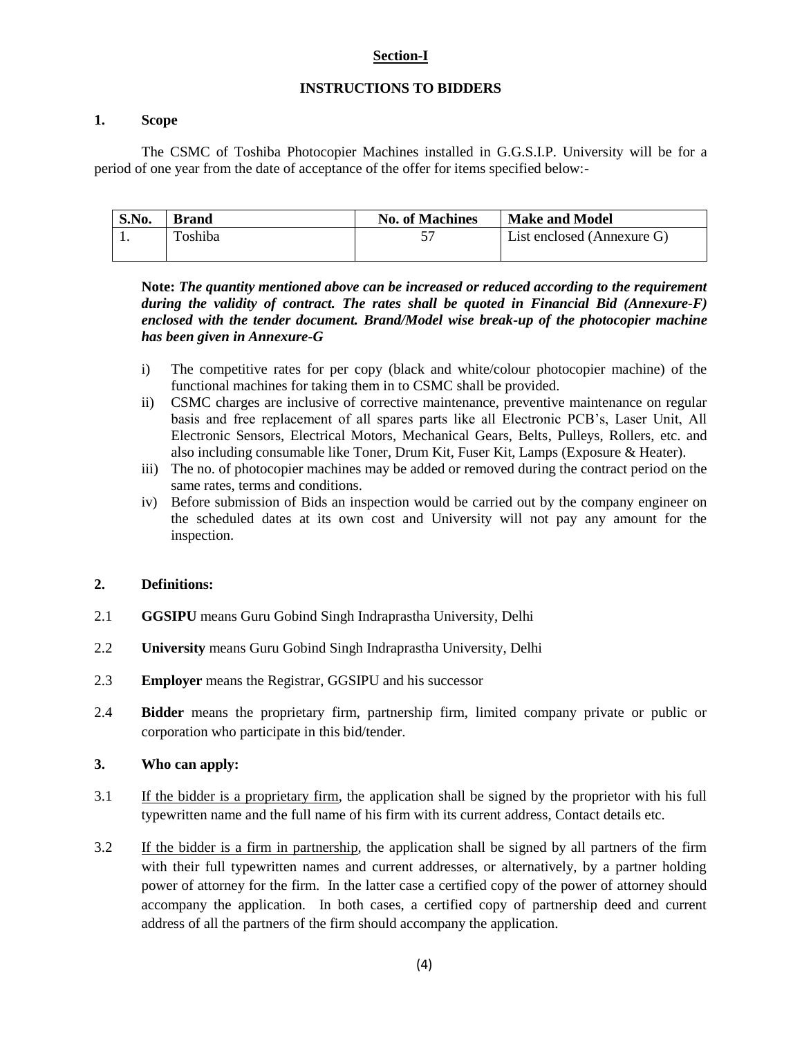#### **Section-I**

#### **INSTRUCTIONS TO BIDDERS**

#### **1. Scope**

The CSMC of Toshiba Photocopier Machines installed in G.G.S.I.P. University will be for a period of one year from the date of acceptance of the offer for items specified below:-

| S.No. | <b>Brand</b> | <b>No. of Machines</b> | <b>Make and Model</b>      |
|-------|--------------|------------------------|----------------------------|
|       | Toshiba      |                        | List enclosed (Annexure G) |
|       |              |                        |                            |

**Note:** *The quantity mentioned above can be increased or reduced according to the requirement during the validity of contract. The rates shall be quoted in Financial Bid (Annexure-F) enclosed with the tender document. Brand/Model wise break-up of the photocopier machine has been given in Annexure-G*

- i) The competitive rates for per copy (black and white/colour photocopier machine) of the functional machines for taking them in to CSMC shall be provided.
- ii) CSMC charges are inclusive of corrective maintenance, preventive maintenance on regular basis and free replacement of all spares parts like all Electronic PCB"s, Laser Unit, All Electronic Sensors, Electrical Motors, Mechanical Gears, Belts, Pulleys, Rollers, etc. and also including consumable like Toner, Drum Kit, Fuser Kit, Lamps (Exposure & Heater).
- iii) The no. of photocopier machines may be added or removed during the contract period on the same rates, terms and conditions.
- iv) Before submission of Bids an inspection would be carried out by the company engineer on the scheduled dates at its own cost and University will not pay any amount for the inspection.

#### **2. Definitions:**

- 2.1 **GGSIPU** means Guru Gobind Singh Indraprastha University, Delhi
- 2.2 **University** means Guru Gobind Singh Indraprastha University, Delhi
- 2.3 **Employer** means the Registrar, GGSIPU and his successor
- 2.4 **Bidder** means the proprietary firm, partnership firm, limited company private or public or corporation who participate in this bid/tender.

## **3. Who can apply:**

- 3.1 If the bidder is a proprietary firm, the application shall be signed by the proprietor with his full typewritten name and the full name of his firm with its current address, Contact details etc.
- 3.2 If the bidder is a firm in partnership, the application shall be signed by all partners of the firm with their full typewritten names and current addresses, or alternatively, by a partner holding power of attorney for the firm. In the latter case a certified copy of the power of attorney should accompany the application. In both cases, a certified copy of partnership deed and current address of all the partners of the firm should accompany the application.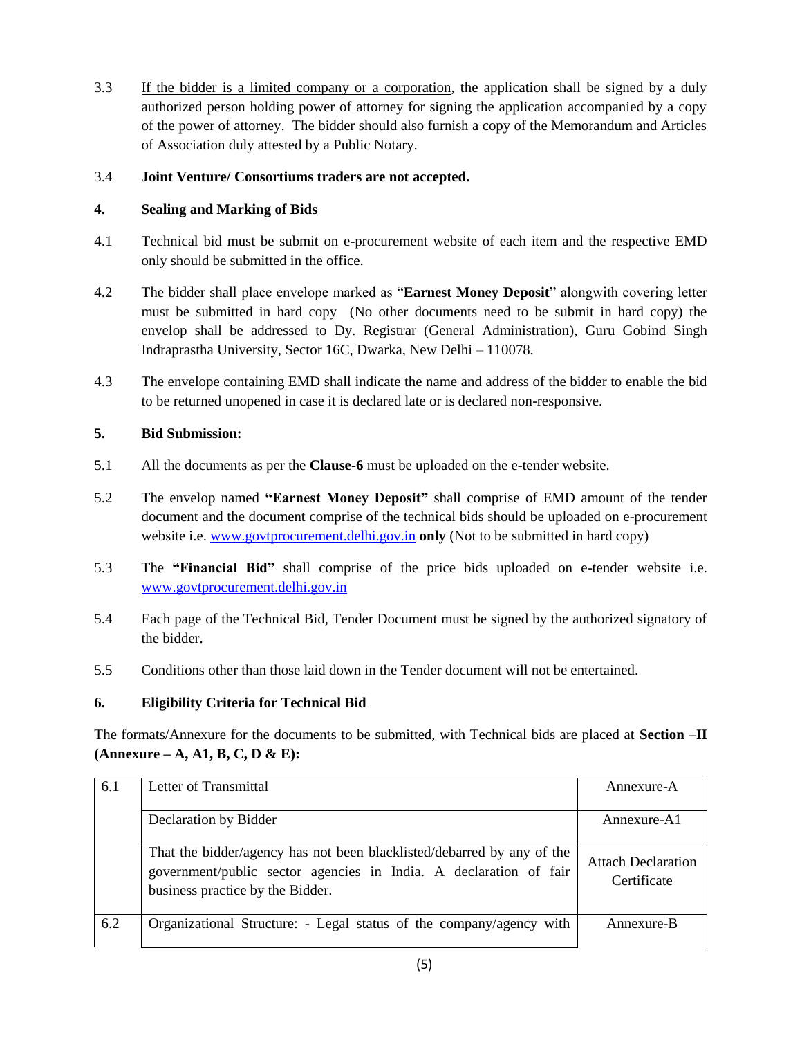3.3 If the bidder is a limited company or a corporation, the application shall be signed by a duly authorized person holding power of attorney for signing the application accompanied by a copy of the power of attorney. The bidder should also furnish a copy of the Memorandum and Articles of Association duly attested by a Public Notary.

## 3.4 **Joint Venture/ Consortiums traders are not accepted.**

## **4. Sealing and Marking of Bids**

- 4.1 Technical bid must be submit on e-procurement website of each item and the respective EMD only should be submitted in the office.
- 4.2 The bidder shall place envelope marked as "**Earnest Money Deposit**" alongwith covering letter must be submitted in hard copy (No other documents need to be submit in hard copy) the envelop shall be addressed to Dy. Registrar (General Administration), Guru Gobind Singh Indraprastha University, Sector 16C, Dwarka, New Delhi – 110078.
- 4.3 The envelope containing EMD shall indicate the name and address of the bidder to enable the bid to be returned unopened in case it is declared late or is declared non-responsive.

## **5. Bid Submission:**

- 5.1 All the documents as per the **Clause-6** must be uploaded on the e-tender website.
- 5.2 The envelop named **"Earnest Money Deposit"** shall comprise of EMD amount of the tender document and the document comprise of the technical bids should be uploaded on e-procurement website i.e. [www.govtprocurement.delhi.gov.in](http://www.govtprocurement.delhi.gov.in/) **only** (Not to be submitted in hard copy)
- 5.3 The **"Financial Bid"** shall comprise of the price bids uploaded on e-tender website i.e. [www.govtprocurement.delhi.gov.in](http://www.govtprocurement.delhi.gov.in/)
- 5.4 Each page of the Technical Bid, Tender Document must be signed by the authorized signatory of the bidder.
- 5.5 Conditions other than those laid down in the Tender document will not be entertained.

## **6. Eligibility Criteria for Technical Bid**

The formats/Annexure for the documents to be submitted, with Technical bids are placed at **Section –II (Annexure – A, A1, B, C, D & E):** 

| 6.1 | Letter of Transmittal                                                                                                                                                           | Annexure-A                               |
|-----|---------------------------------------------------------------------------------------------------------------------------------------------------------------------------------|------------------------------------------|
|     | Declaration by Bidder                                                                                                                                                           | Annexure-A1                              |
|     | That the bidder/agency has not been blacklisted/debarred by any of the<br>government/public sector agencies in India. A declaration of fair<br>business practice by the Bidder. | <b>Attach Declaration</b><br>Certificate |
| 6.2 | Organizational Structure: - Legal status of the company/agency with                                                                                                             | Annexure-B                               |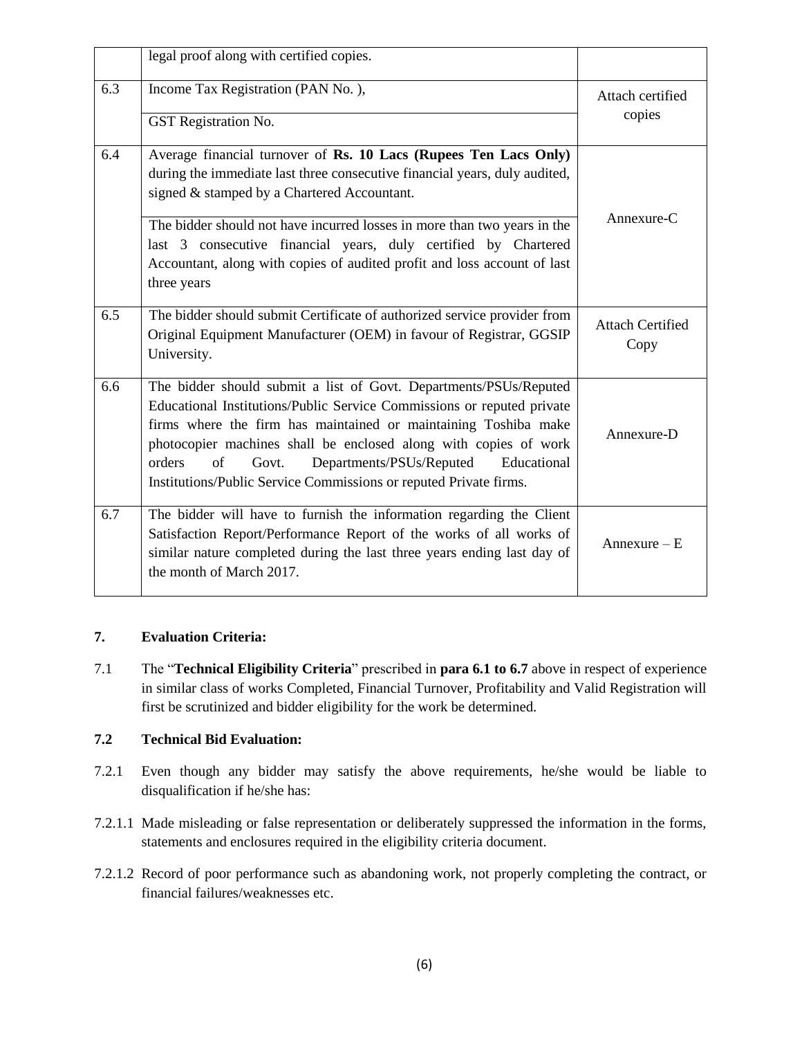|     | legal proof along with certified copies.                                                                                                                                                                                                                                                                                                                                                                                    |                                 |
|-----|-----------------------------------------------------------------------------------------------------------------------------------------------------------------------------------------------------------------------------------------------------------------------------------------------------------------------------------------------------------------------------------------------------------------------------|---------------------------------|
| 6.3 | Income Tax Registration (PAN No.),<br>GST Registration No.                                                                                                                                                                                                                                                                                                                                                                  | Attach certified<br>copies      |
| 6.4 | Average financial turnover of Rs. 10 Lacs (Rupees Ten Lacs Only)<br>during the immediate last three consecutive financial years, duly audited,<br>signed & stamped by a Chartered Accountant.<br>The bidder should not have incurred losses in more than two years in the                                                                                                                                                   | Annexure-C                      |
|     | last 3 consecutive financial years, duly certified by Chartered<br>Accountant, along with copies of audited profit and loss account of last<br>three years                                                                                                                                                                                                                                                                  |                                 |
| 6.5 | The bidder should submit Certificate of authorized service provider from<br>Original Equipment Manufacturer (OEM) in favour of Registrar, GGSIP<br>University.                                                                                                                                                                                                                                                              | <b>Attach Certified</b><br>Copy |
| 6.6 | The bidder should submit a list of Govt. Departments/PSUs/Reputed<br>Educational Institutions/Public Service Commissions or reputed private<br>firms where the firm has maintained or maintaining Toshiba make<br>photocopier machines shall be enclosed along with copies of work<br>of<br>orders<br>Departments/PSUs/Reputed<br>Educational<br>Govt.<br>Institutions/Public Service Commissions or reputed Private firms. | Annexure-D                      |
| 6.7 | The bidder will have to furnish the information regarding the Client<br>Satisfaction Report/Performance Report of the works of all works of<br>similar nature completed during the last three years ending last day of<br>the month of March 2017.                                                                                                                                                                          | Annexure $-E$                   |

## **7. Evaluation Criteria:**

7.1 The "**Technical Eligibility Criteria**" prescribed in **para 6.1 to 6.7** above in respect of experience in similar class of works Completed, Financial Turnover, Profitability and Valid Registration will first be scrutinized and bidder eligibility for the work be determined.

## **7.2 Technical Bid Evaluation:**

- 7.2.1 Even though any bidder may satisfy the above requirements, he/she would be liable to disqualification if he/she has:
- 7.2.1.1 Made misleading or false representation or deliberately suppressed the information in the forms, statements and enclosures required in the eligibility criteria document.
- 7.2.1.2 Record of poor performance such as abandoning work, not properly completing the contract, or financial failures/weaknesses etc.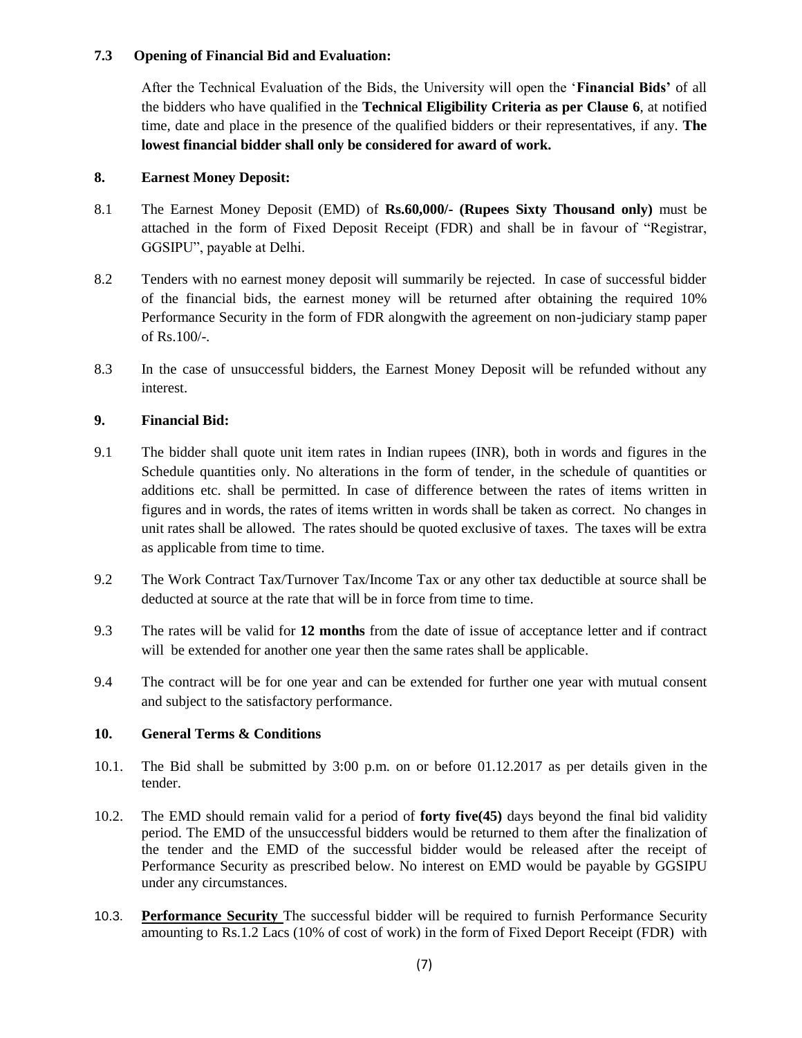## **7.3 Opening of Financial Bid and Evaluation:**

After the Technical Evaluation of the Bids, the University will open the "**Financial Bids'** of all the bidders who have qualified in the **Technical Eligibility Criteria as per Clause 6**, at notified time, date and place in the presence of the qualified bidders or their representatives, if any. **The lowest financial bidder shall only be considered for award of work.** 

## **8. Earnest Money Deposit:**

- 8.1 The Earnest Money Deposit (EMD) of **Rs.60,000/- (Rupees Sixty Thousand only)** must be attached in the form of Fixed Deposit Receipt (FDR) and shall be in favour of "Registrar, GGSIPU", payable at Delhi.
- 8.2 Tenders with no earnest money deposit will summarily be rejected. In case of successful bidder of the financial bids, the earnest money will be returned after obtaining the required 10% Performance Security in the form of FDR alongwith the agreement on non-judiciary stamp paper of Rs.100/-.
- 8.3 In the case of unsuccessful bidders, the Earnest Money Deposit will be refunded without any interest.

## **9. Financial Bid:**

- 9.1 The bidder shall quote unit item rates in Indian rupees (INR), both in words and figures in the Schedule quantities only. No alterations in the form of tender, in the schedule of quantities or additions etc. shall be permitted. In case of difference between the rates of items written in figures and in words, the rates of items written in words shall be taken as correct. No changes in unit rates shall be allowed. The rates should be quoted exclusive of taxes. The taxes will be extra as applicable from time to time.
- 9.2 The Work Contract Tax/Turnover Tax/Income Tax or any other tax deductible at source shall be deducted at source at the rate that will be in force from time to time.
- 9.3 The rates will be valid for **12 months** from the date of issue of acceptance letter and if contract will be extended for another one year then the same rates shall be applicable.
- 9.4 The contract will be for one year and can be extended for further one year with mutual consent and subject to the satisfactory performance.

#### **10. General Terms & Conditions**

- 10.1. The Bid shall be submitted by 3:00 p.m. on or before 01.12.2017 as per details given in the tender.
- 10.2. The EMD should remain valid for a period of **forty five(45)** days beyond the final bid validity period. The EMD of the unsuccessful bidders would be returned to them after the finalization of the tender and the EMD of the successful bidder would be released after the receipt of Performance Security as prescribed below. No interest on EMD would be payable by GGSIPU under any circumstances.
- 10.3. **Performance Security** The successful bidder will be required to furnish Performance Security amounting to Rs.1.2 Lacs (10% of cost of work) in the form of Fixed Deport Receipt (FDR) with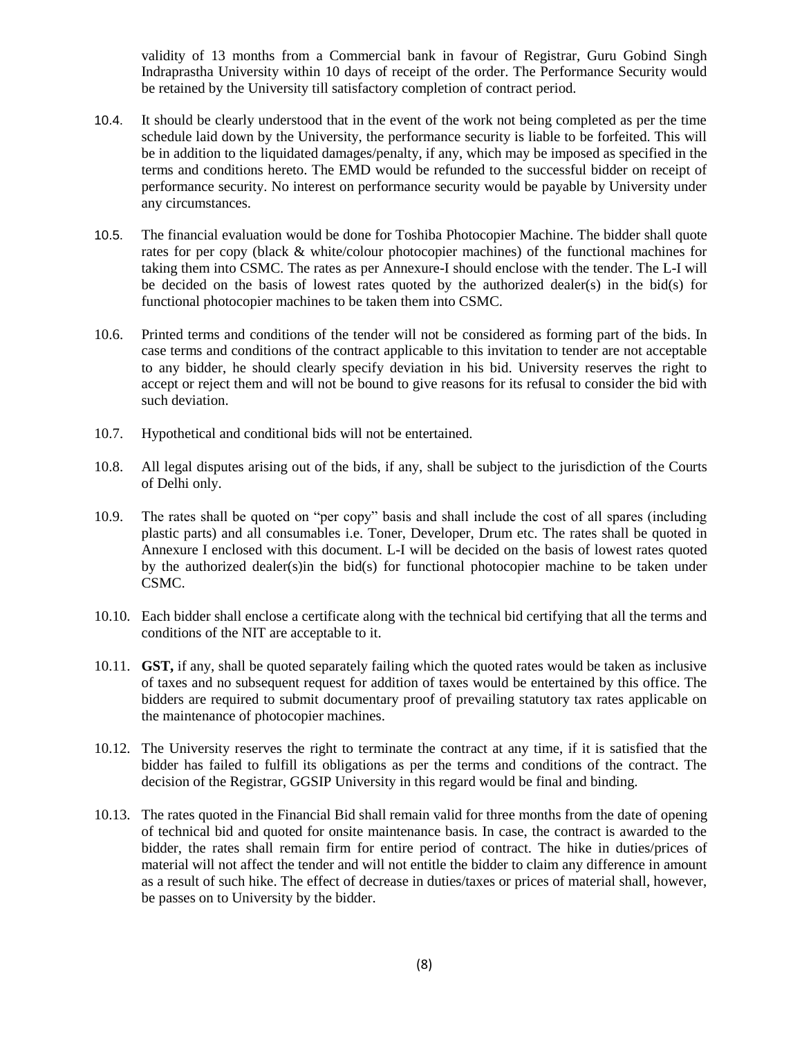validity of 13 months from a Commercial bank in favour of Registrar, Guru Gobind Singh Indraprastha University within 10 days of receipt of the order. The Performance Security would be retained by the University till satisfactory completion of contract period.

- 10.4. It should be clearly understood that in the event of the work not being completed as per the time schedule laid down by the University, the performance security is liable to be forfeited. This will be in addition to the liquidated damages/penalty, if any, which may be imposed as specified in the terms and conditions hereto. The EMD would be refunded to the successful bidder on receipt of performance security. No interest on performance security would be payable by University under any circumstances.
- 10.5. The financial evaluation would be done for Toshiba Photocopier Machine. The bidder shall quote rates for per copy (black & white/colour photocopier machines) of the functional machines for taking them into CSMC. The rates as per Annexure-I should enclose with the tender. The L-I will be decided on the basis of lowest rates quoted by the authorized dealer(s) in the bid(s) for functional photocopier machines to be taken them into CSMC.
- 10.6. Printed terms and conditions of the tender will not be considered as forming part of the bids. In case terms and conditions of the contract applicable to this invitation to tender are not acceptable to any bidder, he should clearly specify deviation in his bid. University reserves the right to accept or reject them and will not be bound to give reasons for its refusal to consider the bid with such deviation.
- 10.7. Hypothetical and conditional bids will not be entertained.
- 10.8. All legal disputes arising out of the bids, if any, shall be subject to the jurisdiction of the Courts of Delhi only.
- 10.9. The rates shall be quoted on "per copy" basis and shall include the cost of all spares (including plastic parts) and all consumables i.e. Toner, Developer, Drum etc. The rates shall be quoted in Annexure I enclosed with this document. L-I will be decided on the basis of lowest rates quoted by the authorized dealer(s)in the bid(s) for functional photocopier machine to be taken under CSMC.
- 10.10. Each bidder shall enclose a certificate along with the technical bid certifying that all the terms and conditions of the NIT are acceptable to it.
- 10.11. **GST,** if any, shall be quoted separately failing which the quoted rates would be taken as inclusive of taxes and no subsequent request for addition of taxes would be entertained by this office. The bidders are required to submit documentary proof of prevailing statutory tax rates applicable on the maintenance of photocopier machines.
- 10.12. The University reserves the right to terminate the contract at any time, if it is satisfied that the bidder has failed to fulfill its obligations as per the terms and conditions of the contract. The decision of the Registrar, GGSIP University in this regard would be final and binding.
- 10.13. The rates quoted in the Financial Bid shall remain valid for three months from the date of opening of technical bid and quoted for onsite maintenance basis. In case, the contract is awarded to the bidder, the rates shall remain firm for entire period of contract. The hike in duties/prices of material will not affect the tender and will not entitle the bidder to claim any difference in amount as a result of such hike. The effect of decrease in duties/taxes or prices of material shall, however, be passes on to University by the bidder.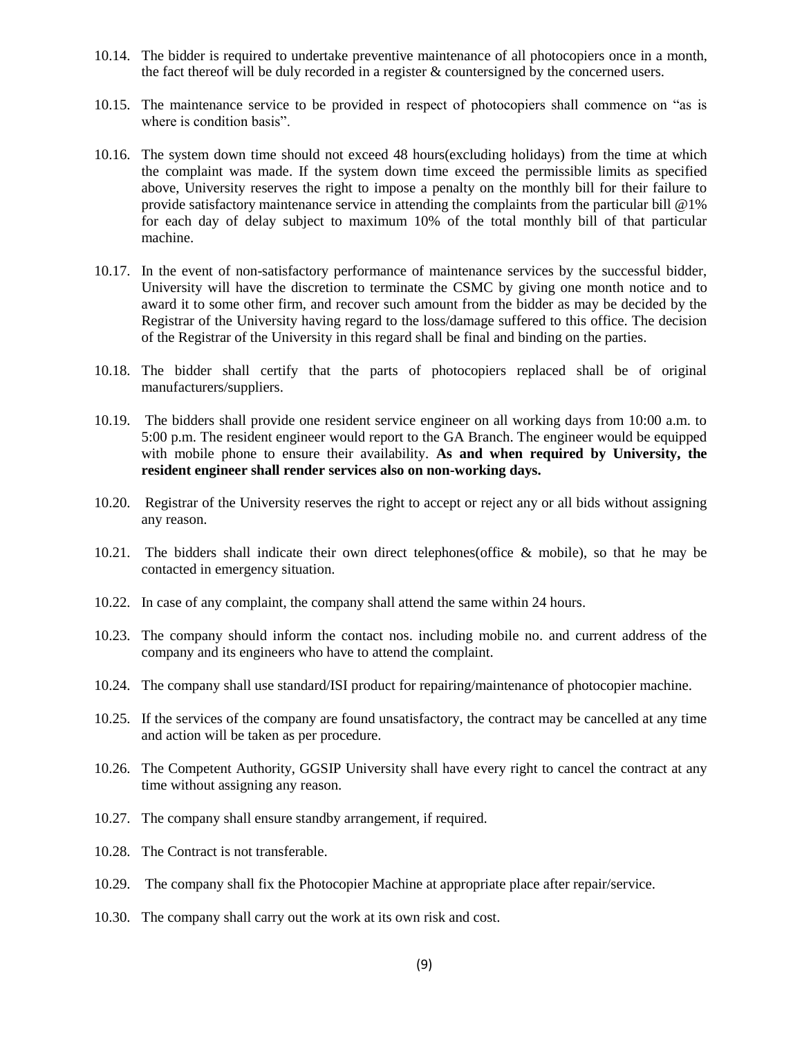- 10.14. The bidder is required to undertake preventive maintenance of all photocopiers once in a month, the fact thereof will be duly recorded in a register & countersigned by the concerned users.
- 10.15. The maintenance service to be provided in respect of photocopiers shall commence on "as is where is condition basis".
- 10.16. The system down time should not exceed 48 hours(excluding holidays) from the time at which the complaint was made. If the system down time exceed the permissible limits as specified above, University reserves the right to impose a penalty on the monthly bill for their failure to provide satisfactory maintenance service in attending the complaints from the particular bill @1% for each day of delay subject to maximum 10% of the total monthly bill of that particular machine.
- 10.17. In the event of non-satisfactory performance of maintenance services by the successful bidder, University will have the discretion to terminate the CSMC by giving one month notice and to award it to some other firm, and recover such amount from the bidder as may be decided by the Registrar of the University having regard to the loss/damage suffered to this office. The decision of the Registrar of the University in this regard shall be final and binding on the parties.
- 10.18. The bidder shall certify that the parts of photocopiers replaced shall be of original manufacturers/suppliers.
- 10.19. The bidders shall provide one resident service engineer on all working days from 10:00 a.m. to 5:00 p.m. The resident engineer would report to the GA Branch. The engineer would be equipped with mobile phone to ensure their availability. **As and when required by University, the resident engineer shall render services also on non-working days.**
- 10.20. Registrar of the University reserves the right to accept or reject any or all bids without assigning any reason.
- 10.21. The bidders shall indicate their own direct telephones(office & mobile), so that he may be contacted in emergency situation.
- 10.22. In case of any complaint, the company shall attend the same within 24 hours.
- 10.23. The company should inform the contact nos. including mobile no. and current address of the company and its engineers who have to attend the complaint.
- 10.24. The company shall use standard/ISI product for repairing/maintenance of photocopier machine.
- 10.25. If the services of the company are found unsatisfactory, the contract may be cancelled at any time and action will be taken as per procedure.
- 10.26. The Competent Authority, GGSIP University shall have every right to cancel the contract at any time without assigning any reason.
- 10.27. The company shall ensure standby arrangement, if required.
- 10.28. The Contract is not transferable.
- 10.29. The company shall fix the Photocopier Machine at appropriate place after repair/service.
- 10.30. The company shall carry out the work at its own risk and cost.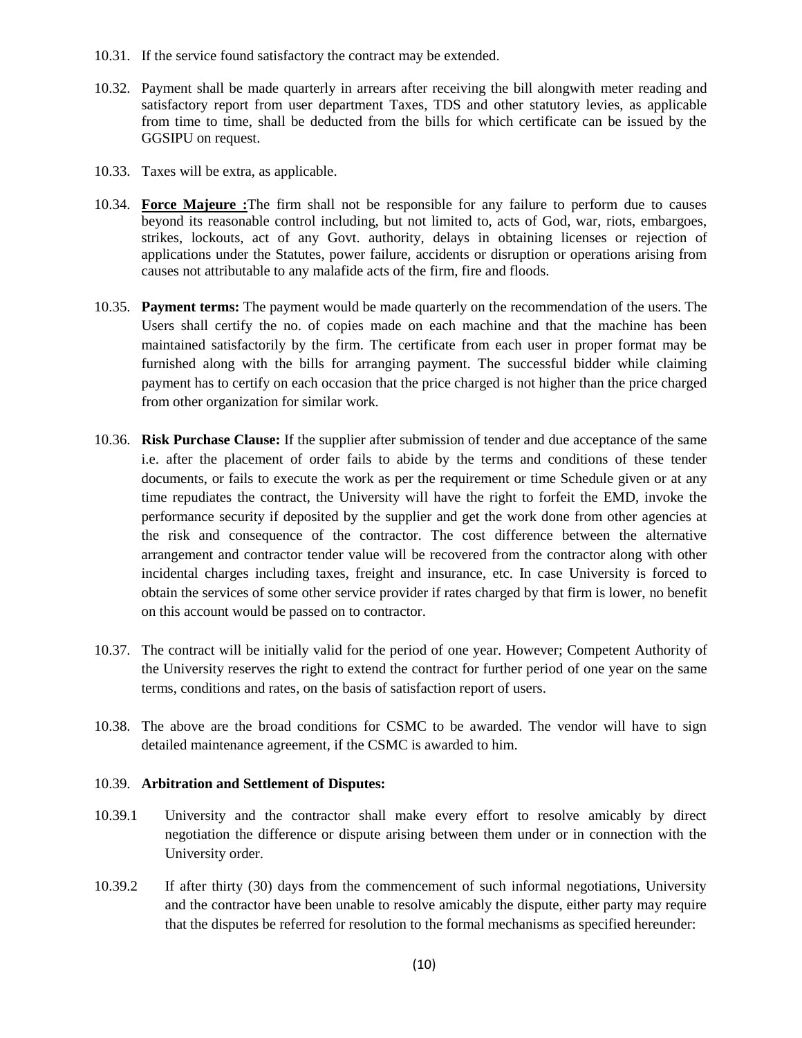- 10.31. If the service found satisfactory the contract may be extended.
- 10.32. Payment shall be made quarterly in arrears after receiving the bill alongwith meter reading and satisfactory report from user department Taxes, TDS and other statutory levies, as applicable from time to time, shall be deducted from the bills for which certificate can be issued by the GGSIPU on request.
- 10.33. Taxes will be extra, as applicable.
- 10.34. **Force Majeure :**The firm shall not be responsible for any failure to perform due to causes beyond its reasonable control including, but not limited to, acts of God, war, riots, embargoes, strikes, lockouts, act of any Govt. authority, delays in obtaining licenses or rejection of applications under the Statutes, power failure, accidents or disruption or operations arising from causes not attributable to any malafide acts of the firm, fire and floods.
- 10.35. **Payment terms:** The payment would be made quarterly on the recommendation of the users. The Users shall certify the no. of copies made on each machine and that the machine has been maintained satisfactorily by the firm. The certificate from each user in proper format may be furnished along with the bills for arranging payment. The successful bidder while claiming payment has to certify on each occasion that the price charged is not higher than the price charged from other organization for similar work.
- 10.36. **Risk Purchase Clause:** If the supplier after submission of tender and due acceptance of the same i.e. after the placement of order fails to abide by the terms and conditions of these tender documents, or fails to execute the work as per the requirement or time Schedule given or at any time repudiates the contract, the University will have the right to forfeit the EMD, invoke the performance security if deposited by the supplier and get the work done from other agencies at the risk and consequence of the contractor. The cost difference between the alternative arrangement and contractor tender value will be recovered from the contractor along with other incidental charges including taxes, freight and insurance, etc. In case University is forced to obtain the services of some other service provider if rates charged by that firm is lower, no benefit on this account would be passed on to contractor.
- 10.37. The contract will be initially valid for the period of one year. However; Competent Authority of the University reserves the right to extend the contract for further period of one year on the same terms, conditions and rates, on the basis of satisfaction report of users.
- 10.38. The above are the broad conditions for CSMC to be awarded. The vendor will have to sign detailed maintenance agreement, if the CSMC is awarded to him.

#### 10.39. **Arbitration and Settlement of Disputes:**

- 10.39.1 University and the contractor shall make every effort to resolve amicably by direct negotiation the difference or dispute arising between them under or in connection with the University order.
- 10.39.2 If after thirty (30) days from the commencement of such informal negotiations, University and the contractor have been unable to resolve amicably the dispute, either party may require that the disputes be referred for resolution to the formal mechanisms as specified hereunder: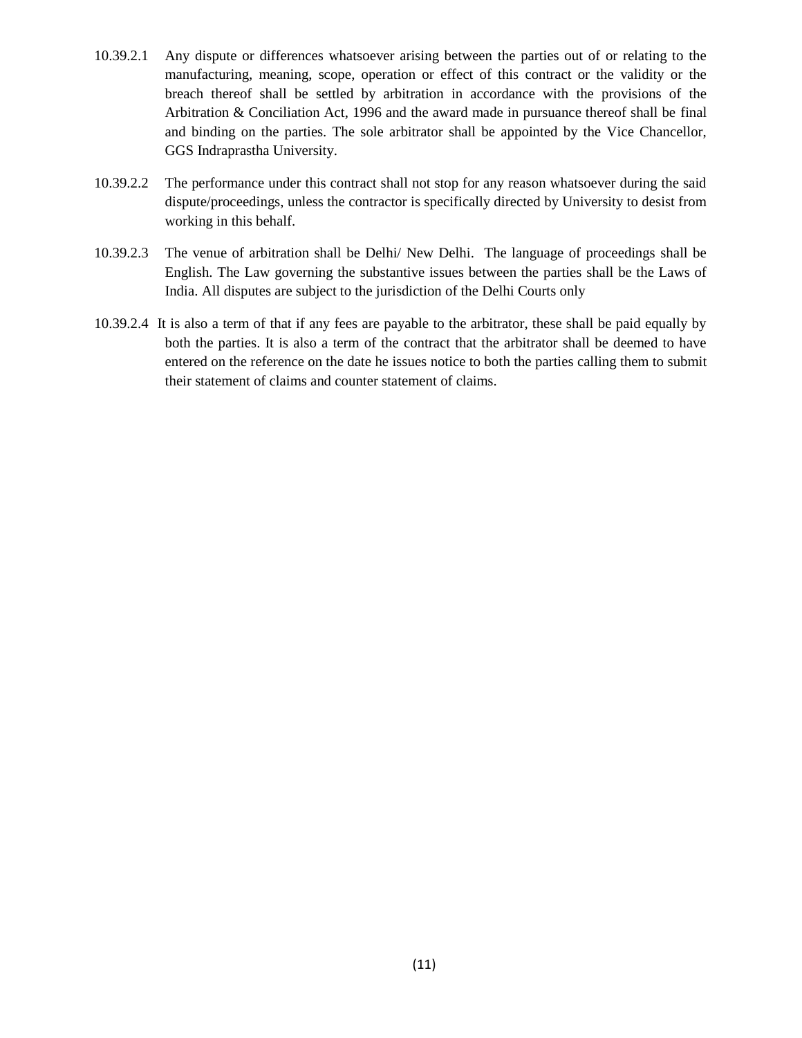- 10.39.2.1 Any dispute or differences whatsoever arising between the parties out of or relating to the manufacturing, meaning, scope, operation or effect of this contract or the validity or the breach thereof shall be settled by arbitration in accordance with the provisions of the Arbitration & Conciliation Act, 1996 and the award made in pursuance thereof shall be final and binding on the parties. The sole arbitrator shall be appointed by the Vice Chancellor, GGS Indraprastha University.
- 10.39.2.2 The performance under this contract shall not stop for any reason whatsoever during the said dispute/proceedings, unless the contractor is specifically directed by University to desist from working in this behalf.
- 10.39.2.3 The venue of arbitration shall be Delhi/ New Delhi. The language of proceedings shall be English. The Law governing the substantive issues between the parties shall be the Laws of India. All disputes are subject to the jurisdiction of the Delhi Courts only
- 10.39.2.4 It is also a term of that if any fees are payable to the arbitrator, these shall be paid equally by both the parties. It is also a term of the contract that the arbitrator shall be deemed to have entered on the reference on the date he issues notice to both the parties calling them to submit their statement of claims and counter statement of claims.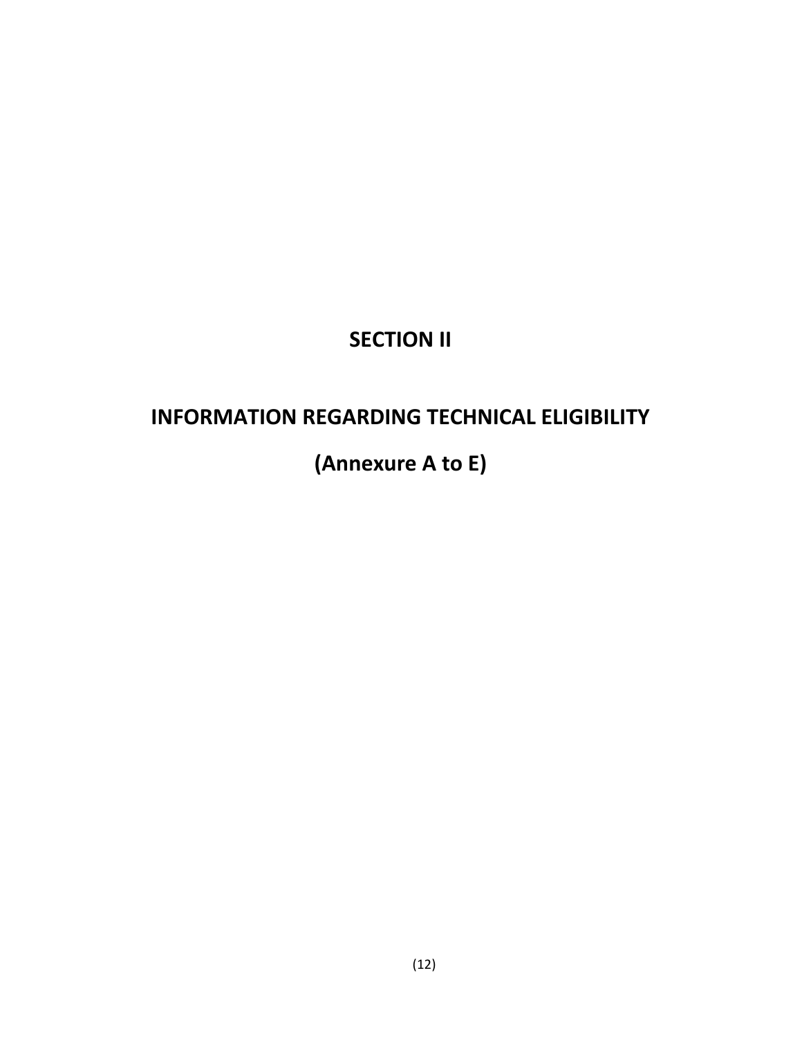# **SECTION II**

# **INFORMATION REGARDING TECHNICAL ELIGIBILITY**

# **(Annexure A to E)**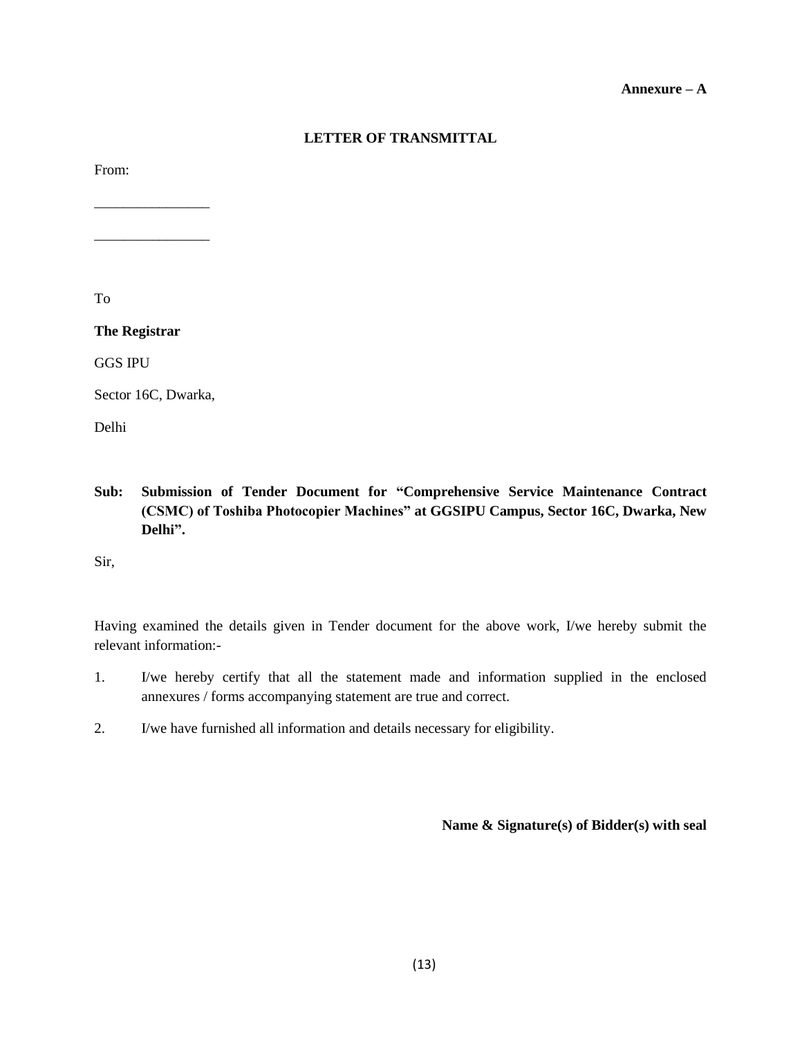#### **Annexure – A**

## **LETTER OF TRANSMITTAL**

From:

To

**The Registrar**

\_\_\_\_\_\_\_\_\_\_\_\_\_\_\_\_

\_\_\_\_\_\_\_\_\_\_\_\_\_\_\_\_

GGS IPU

Sector 16C, Dwarka,

Delhi

**Sub: Submission of Tender Document for "Comprehensive Service Maintenance Contract (CSMC) of Toshiba Photocopier Machines" at GGSIPU Campus, Sector 16C, Dwarka, New Delhi".**

Sir,

Having examined the details given in Tender document for the above work, I/we hereby submit the relevant information:-

- 1. I/we hereby certify that all the statement made and information supplied in the enclosed annexures / forms accompanying statement are true and correct.
- 2. I/we have furnished all information and details necessary for eligibility.

**Name & Signature(s) of Bidder(s) with seal**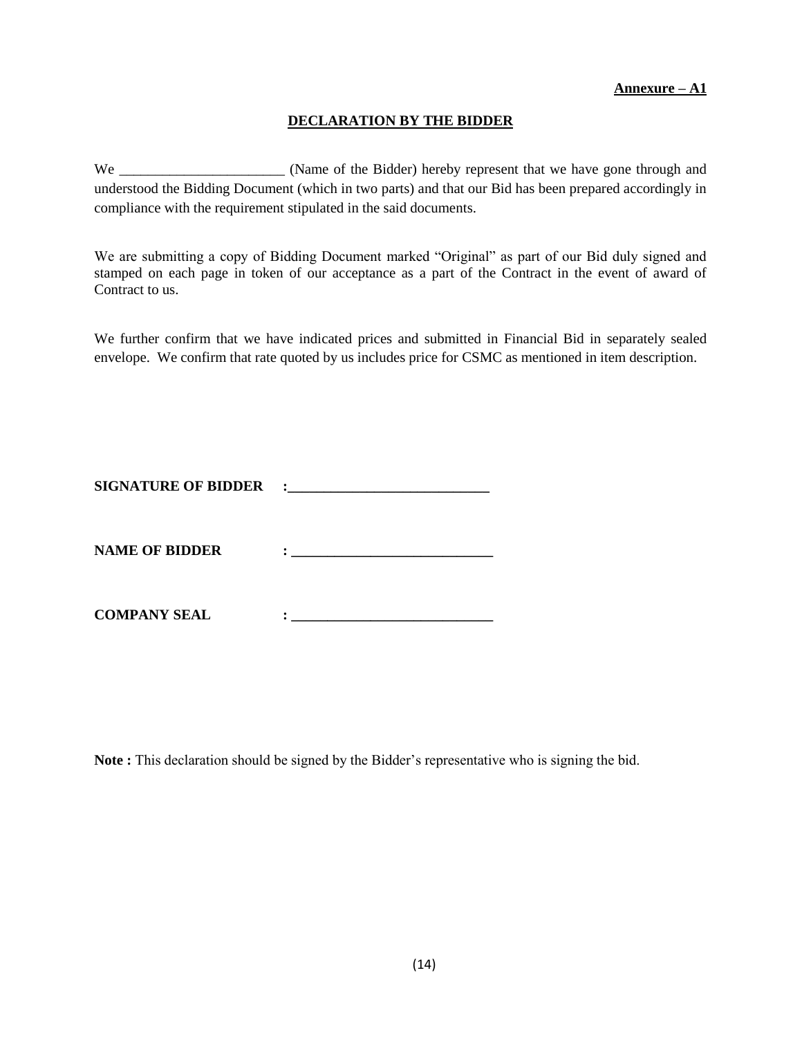## **DECLARATION BY THE BIDDER**

We \_\_\_\_\_\_\_\_\_\_\_\_\_\_\_\_\_\_\_\_\_\_\_ (Name of the Bidder) hereby represent that we have gone through and understood the Bidding Document (which in two parts) and that our Bid has been prepared accordingly in compliance with the requirement stipulated in the said documents.

We are submitting a copy of Bidding Document marked "Original" as part of our Bid duly signed and stamped on each page in token of our acceptance as a part of the Contract in the event of award of Contract to us.

We further confirm that we have indicated prices and submitted in Financial Bid in separately sealed envelope. We confirm that rate quoted by us includes price for CSMC as mentioned in item description.

| <b>SIGNATURE OF BIDDER</b> |  |
|----------------------------|--|
| <b>NAME OF BIDDER</b>      |  |
| <b>COMPANY SEAL</b>        |  |

**Note :** This declaration should be signed by the Bidder"s representative who is signing the bid.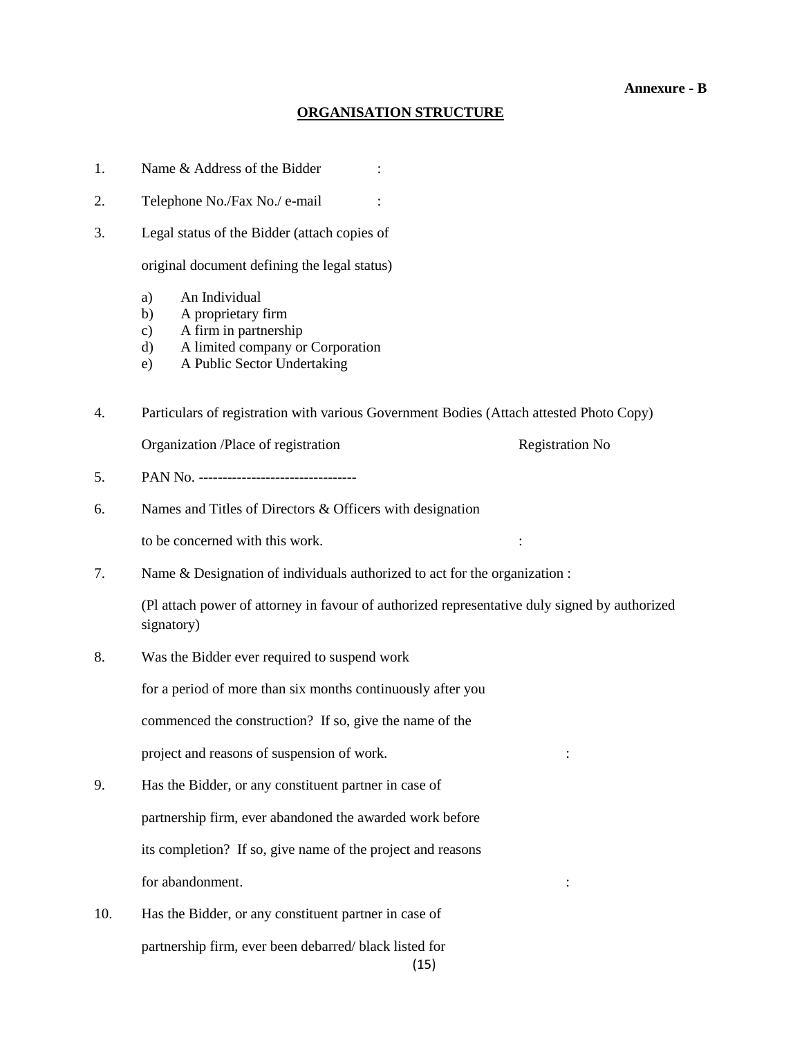#### **Annexure - B**

#### **ORGANISATION STRUCTURE**

1. Name & Address of the Bidder :

2. Telephone No./Fax No./ e-mail :

3. Legal status of the Bidder (attach copies of

original document defining the legal status)

- a) An Individual
- b) A proprietary firm
- c) A firm in partnership
- d) A limited company or Corporation
- e) A Public Sector Undertaking

4. Particulars of registration with various Government Bodies (Attach attested Photo Copy)

Organization /Place of registration contracts and registration No

- 5. PAN No. ---------------------------------
- 6. Names and Titles of Directors & Officers with designation

to be concerned with this work. :

7. Name & Designation of individuals authorized to act for the organization :

(Pl attach power of attorney in favour of authorized representative duly signed by authorized signatory)

8. Was the Bidder ever required to suspend work

for a period of more than six months continuously after you

commenced the construction? If so, give the name of the

project and reasons of suspension of work.  $\cdot$ 

- 9. Has the Bidder, or any constituent partner in case of partnership firm, ever abandoned the awarded work before its completion? If so, give name of the project and reasons for abandonment.  $\cdot$
- (15) 10. Has the Bidder, or any constituent partner in case of partnership firm, ever been debarred/ black listed for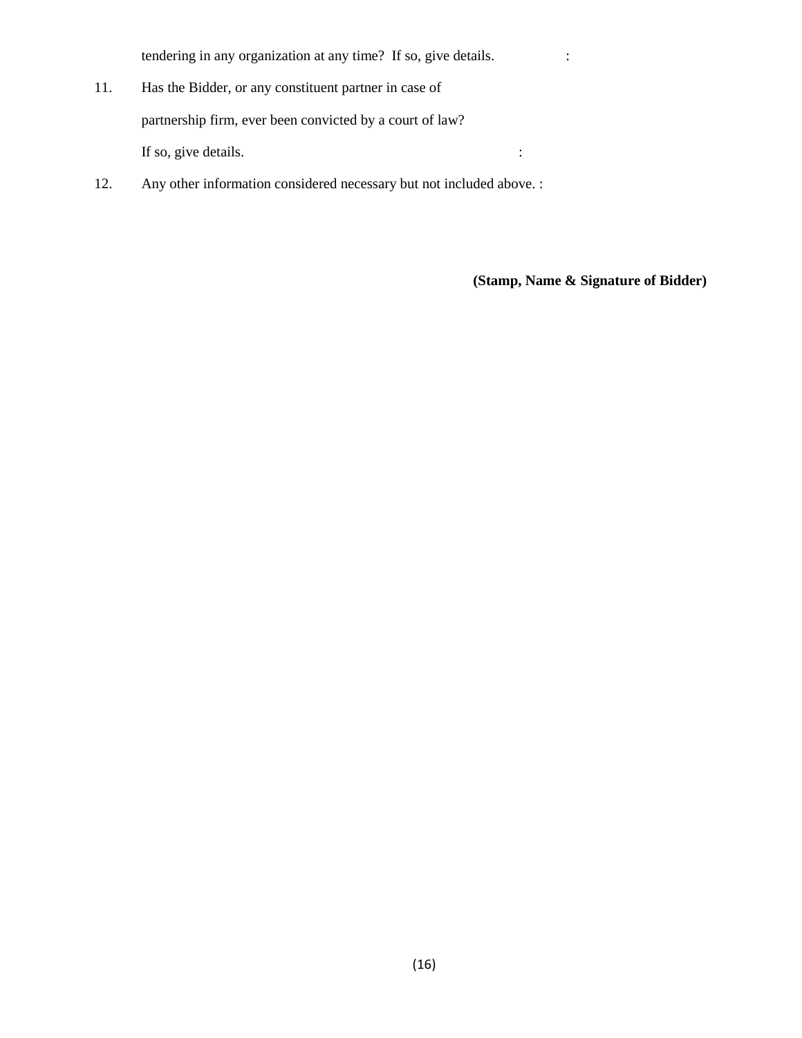tendering in any organization at any time? If so, give details.  $\cdot$ 

- 11. Has the Bidder, or any constituent partner in case of partnership firm, ever been convicted by a court of law? If so, give details.  $\cdot$
- 12. Any other information considered necessary but not included above. :

**(Stamp, Name & Signature of Bidder)**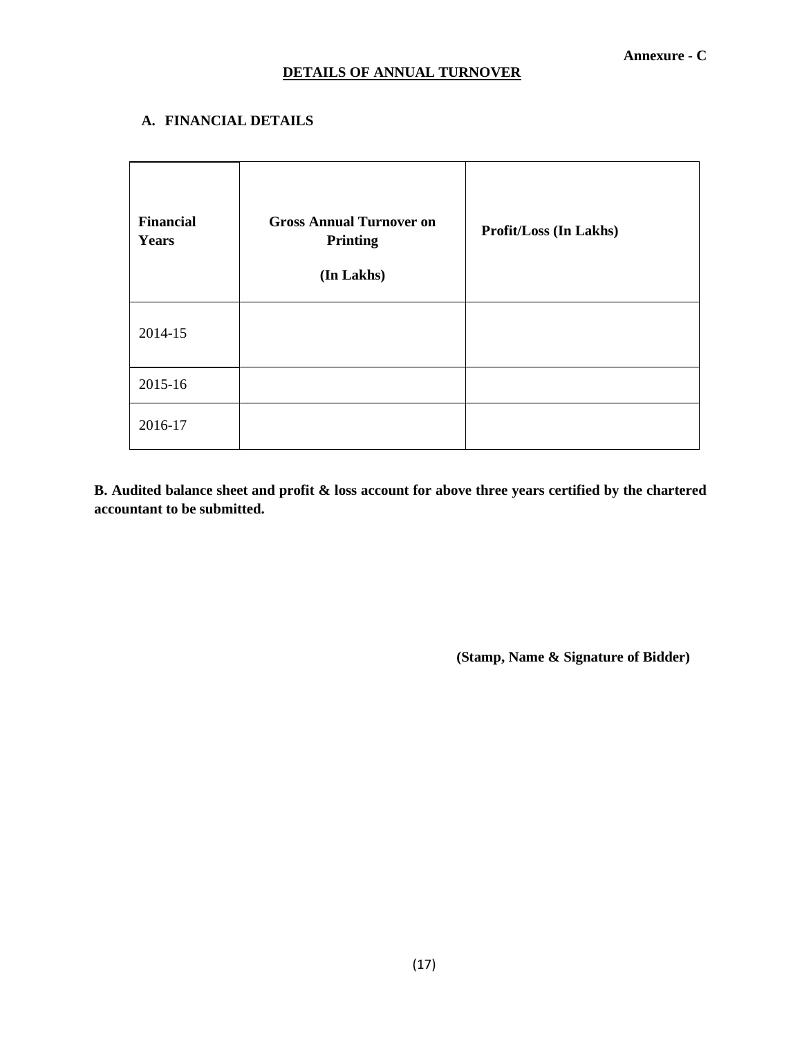## **A. FINANCIAL DETAILS**

| <b>Financial</b><br><b>Years</b> | <b>Gross Annual Turnover on</b><br>Printing<br>(In Lakhs) | Profit/Loss (In Lakhs) |
|----------------------------------|-----------------------------------------------------------|------------------------|
| 2014-15                          |                                                           |                        |
| 2015-16                          |                                                           |                        |
| 2016-17                          |                                                           |                        |

**B. Audited balance sheet and profit & loss account for above three years certified by the chartered accountant to be submitted.**

 **(Stamp, Name & Signature of Bidder)**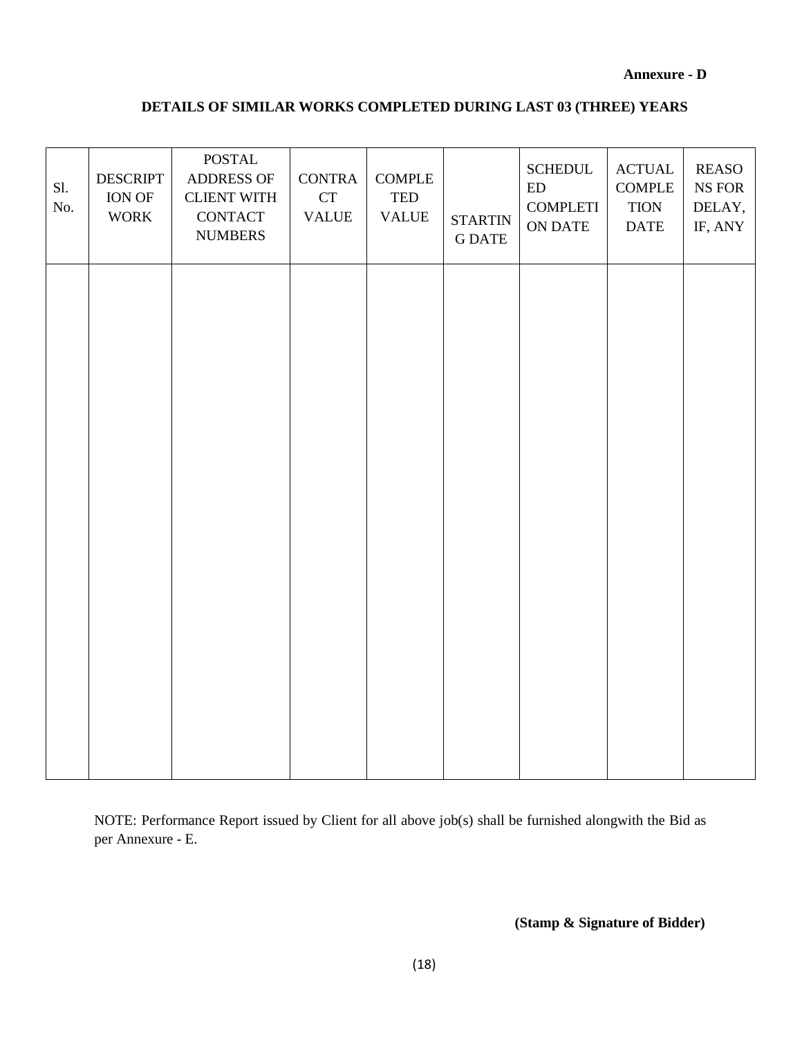#### **Annexure - D**

## **DETAILS OF SIMILAR WORKS COMPLETED DURING LAST 03 (THREE) YEARS**

| Sl.<br>No. | <b>DESCRIPT</b><br>ION OF<br><b>WORK</b> | $\operatorname{POSTAL}$<br>ADDRESS OF<br><b>CLIENT WITH</b><br><b>CONTACT</b><br><b>NUMBERS</b> | <b>CONTRA</b><br>${\cal C}{\cal T}$<br><b>VALUE</b> | <b>COMPLE</b><br>TED<br><b>VALUE</b> | <b>STARTIN</b><br><b>G DATE</b> | <b>SCHEDUL</b><br>ED<br><b>COMPLETI</b><br>ON DATE | $\operatorname{ACTUAL}$<br><b>COMPLE</b><br><b>TION</b><br>$\mathbf{DATE}$ | <b>REASO</b><br>$\rm NS$ FOR<br>DELAY,<br>IF, ANY |
|------------|------------------------------------------|-------------------------------------------------------------------------------------------------|-----------------------------------------------------|--------------------------------------|---------------------------------|----------------------------------------------------|----------------------------------------------------------------------------|---------------------------------------------------|
|            |                                          |                                                                                                 |                                                     |                                      |                                 |                                                    |                                                                            |                                                   |
|            |                                          |                                                                                                 |                                                     |                                      |                                 |                                                    |                                                                            |                                                   |
|            |                                          |                                                                                                 |                                                     |                                      |                                 |                                                    |                                                                            |                                                   |
|            |                                          |                                                                                                 |                                                     |                                      |                                 |                                                    |                                                                            |                                                   |
|            |                                          |                                                                                                 |                                                     |                                      |                                 |                                                    |                                                                            |                                                   |

NOTE: Performance Report issued by Client for all above job(s) shall be furnished alongwith the Bid as per Annexure - E.

 **(Stamp & Signature of Bidder)**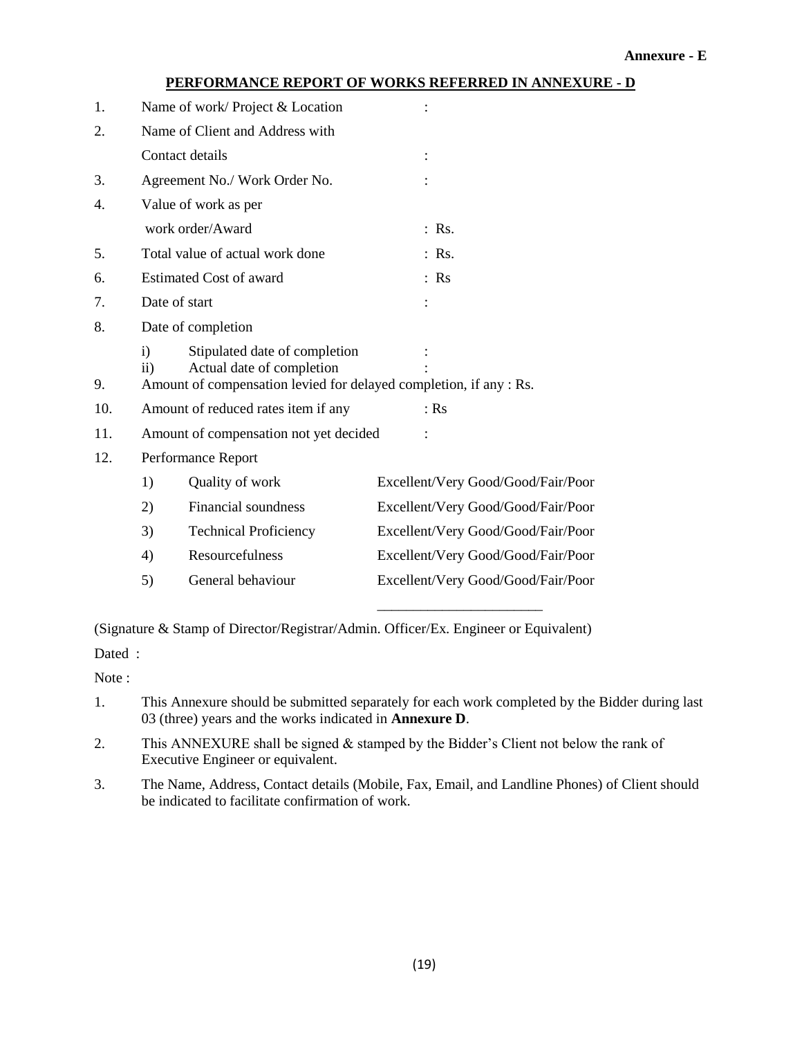## **PERFORMANCE REPORT OF WORKS REFERRED IN ANNEXURE - D**

| 1.  |                           | Name of work/ Project & Location                                                                                                 |                                    |  |
|-----|---------------------------|----------------------------------------------------------------------------------------------------------------------------------|------------------------------------|--|
| 2.  |                           | Name of Client and Address with                                                                                                  |                                    |  |
|     |                           | Contact details                                                                                                                  |                                    |  |
| 3.  |                           | Agreement No./ Work Order No.                                                                                                    |                                    |  |
| 4.  |                           | Value of work as per                                                                                                             |                                    |  |
|     |                           | work order/Award                                                                                                                 | $:$ Rs.                            |  |
| 5.  |                           | Total value of actual work done                                                                                                  | $:$ Rs.                            |  |
| 6.  |                           | <b>Estimated Cost of award</b>                                                                                                   | $:$ Rs                             |  |
| 7.  |                           | Date of start                                                                                                                    |                                    |  |
| 8.  |                           | Date of completion                                                                                                               |                                    |  |
| 9.  | $\mathbf{i}$<br>$\rm ii)$ | Stipulated date of completion<br>Actual date of completion<br>Amount of compensation levied for delayed completion, if any : Rs. |                                    |  |
| 10. |                           | Amount of reduced rates item if any                                                                                              | $:$ Rs                             |  |
| 11. |                           | Amount of compensation not yet decided                                                                                           |                                    |  |
| 12. |                           | Performance Report                                                                                                               |                                    |  |
|     | 1)                        | Quality of work                                                                                                                  | Excellent/Very Good/Good/Fair/Poor |  |
|     | 2)                        | Financial soundness                                                                                                              | Excellent/Very Good/Good/Fair/Poor |  |
|     | 3)                        | <b>Technical Proficiency</b>                                                                                                     | Excellent/Very Good/Good/Fair/Poor |  |
|     | 4)                        | Resourcefulness                                                                                                                  | Excellent/Very Good/Good/Fair/Poor |  |
|     | 5)                        | General behaviour                                                                                                                | Excellent/Very Good/Good/Fair/Poor |  |

(Signature & Stamp of Director/Registrar/Admin. Officer/Ex. Engineer or Equivalent)

Dated :

Note :

1. This Annexure should be submitted separately for each work completed by the Bidder during last 03 (three) years and the works indicated in **Annexure D**.

\_\_\_\_\_\_\_\_\_\_\_\_\_\_\_\_\_\_\_\_\_\_\_

- 2. This ANNEXURE shall be signed  $&$  stamped by the Bidder's Client not below the rank of Executive Engineer or equivalent.
- 3. The Name, Address, Contact details (Mobile, Fax, Email, and Landline Phones) of Client should be indicated to facilitate confirmation of work.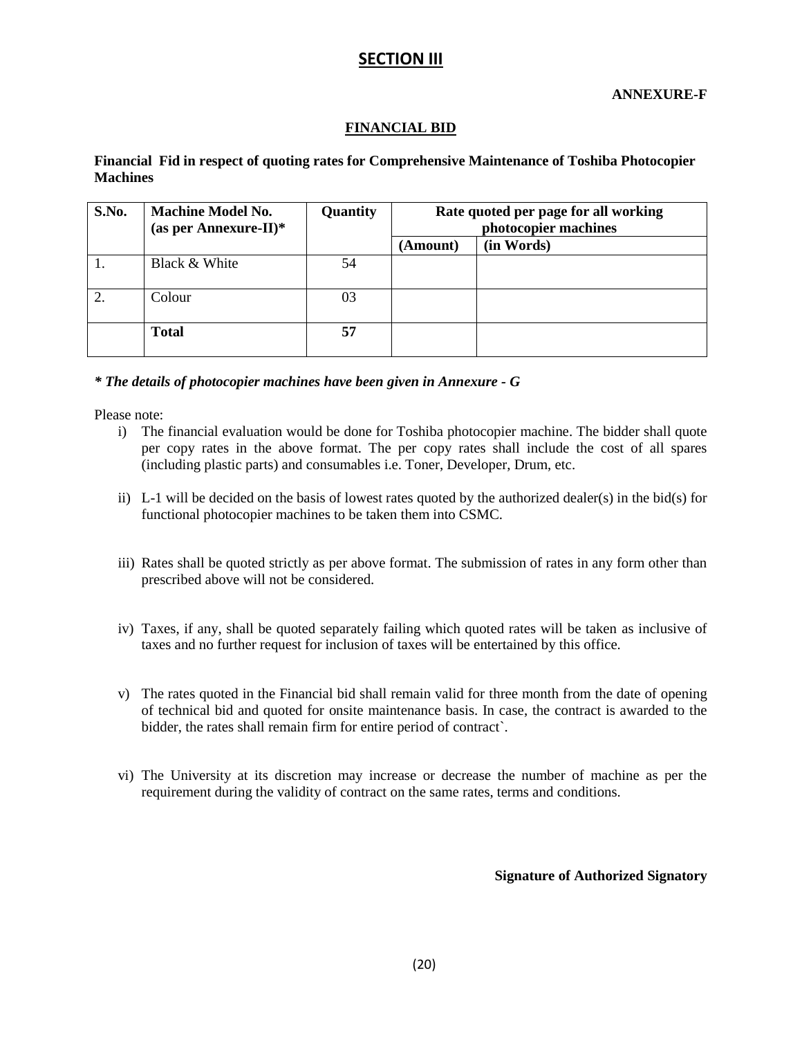## **SECTION III**

**ANNEXURE-F**

## **FINANCIAL BID**

#### **Financial Fid in respect of quoting rates for Comprehensive Maintenance of Toshiba Photocopier Machines**

| S.No. | <b>Machine Model No.</b><br>(as per Annexure-II)* | Quantity | Rate quoted per page for all working<br>photocopier machines |            |
|-------|---------------------------------------------------|----------|--------------------------------------------------------------|------------|
|       |                                                   |          | (Amount)                                                     | (in Words) |
|       | Black & White                                     | 54       |                                                              |            |
|       | Colour                                            | 03       |                                                              |            |
|       | <b>Total</b>                                      | 57       |                                                              |            |

#### *\* The details of photocopier machines have been given in Annexure - G*

Please note:

- i) The financial evaluation would be done for Toshiba photocopier machine. The bidder shall quote per copy rates in the above format. The per copy rates shall include the cost of all spares (including plastic parts) and consumables i.e. Toner, Developer, Drum, etc.
- ii) L-1 will be decided on the basis of lowest rates quoted by the authorized dealer(s) in the bid(s) for functional photocopier machines to be taken them into CSMC.
- iii) Rates shall be quoted strictly as per above format. The submission of rates in any form other than prescribed above will not be considered.
- iv) Taxes, if any, shall be quoted separately failing which quoted rates will be taken as inclusive of taxes and no further request for inclusion of taxes will be entertained by this office.
- v) The rates quoted in the Financial bid shall remain valid for three month from the date of opening of technical bid and quoted for onsite maintenance basis. In case, the contract is awarded to the bidder, the rates shall remain firm for entire period of contract`.
- vi) The University at its discretion may increase or decrease the number of machine as per the requirement during the validity of contract on the same rates, terms and conditions.

**Signature of Authorized Signatory**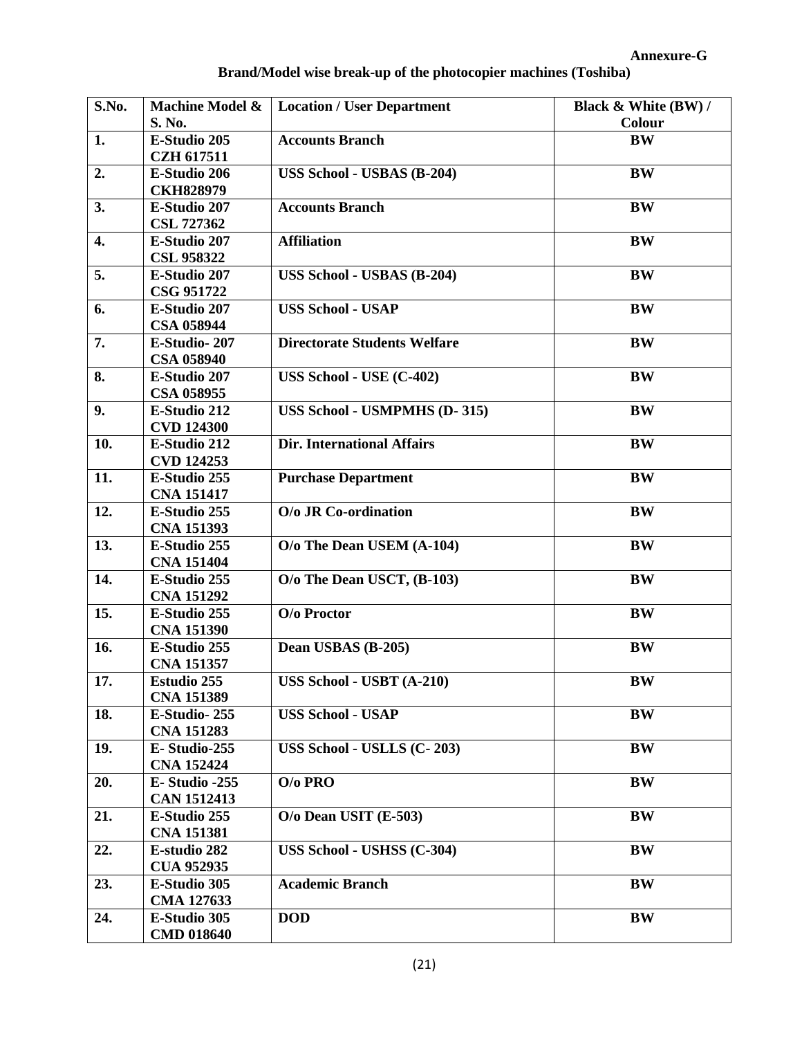| S.No. | Machine Model &    | <b>Location / User Department</b>   | Black & White (BW) / |
|-------|--------------------|-------------------------------------|----------------------|
|       | S. No.             |                                     | Colour               |
| 1.    | E-Studio 205       | <b>Accounts Branch</b>              | <b>BW</b>            |
|       | <b>CZH 617511</b>  |                                     |                      |
| 2.    | E-Studio 206       | <b>USS School - USBAS (B-204)</b>   | <b>BW</b>            |
|       | <b>CKH828979</b>   |                                     |                      |
| 3.    | E-Studio 207       | <b>Accounts Branch</b>              | <b>BW</b>            |
|       | <b>CSL 727362</b>  |                                     |                      |
| 4.    | E-Studio 207       | <b>Affiliation</b>                  | <b>BW</b>            |
|       | <b>CSL 958322</b>  |                                     |                      |
| 5.    | E-Studio 207       | USS School - USBAS (B-204)          | <b>BW</b>            |
|       | CSG 951722         |                                     |                      |
| 6.    | E-Studio 207       | <b>USS School - USAP</b>            | <b>BW</b>            |
|       | <b>CSA 058944</b>  |                                     |                      |
| 7.    | E-Studio-207       | <b>Directorate Students Welfare</b> | <b>BW</b>            |
|       | <b>CSA 058940</b>  |                                     |                      |
| 8.    | E-Studio 207       | USS School - USE (C-402)            | <b>BW</b>            |
|       | <b>CSA 058955</b>  |                                     |                      |
| 9.    | E-Studio 212       | <b>USS School - USMPMHS (D-315)</b> | <b>BW</b>            |
|       | <b>CVD 124300</b>  |                                     |                      |
| 10.   | E-Studio 212       | <b>Dir. International Affairs</b>   | <b>BW</b>            |
|       | <b>CVD 124253</b>  |                                     |                      |
| 11.   | E-Studio 255       | <b>Purchase Department</b>          | <b>BW</b>            |
|       | <b>CNA 151417</b>  |                                     |                      |
| 12.   | E-Studio 255       | O/o JR Co-ordination                | <b>BW</b>            |
|       | <b>CNA 151393</b>  |                                     |                      |
| 13.   | E-Studio 255       | O/o The Dean USEM (A-104)           | <b>BW</b>            |
|       | <b>CNA 151404</b>  |                                     |                      |
| 14.   | E-Studio 255       | O/o The Dean USCT, (B-103)          | <b>BW</b>            |
|       | <b>CNA 151292</b>  |                                     |                      |
| 15.   | E-Studio 255       | O/o Proctor                         | <b>BW</b>            |
|       | <b>CNA 151390</b>  |                                     |                      |
| 16.   | E-Studio 255       | Dean USBAS (B-205)                  | <b>BW</b>            |
|       | <b>CNA 151357</b>  |                                     |                      |
| 17.   | <b>Estudio 255</b> | USS School - USBT (A-210)           | <b>BW</b>            |
|       | <b>CNA 151389</b>  |                                     |                      |
| 18.   | E-Studio-255       | <b>USS School - USAP</b>            | <b>BW</b>            |
|       | <b>CNA 151283</b>  |                                     |                      |
| 19.   | E-Studio-255       | USS School - USLLS (C-203)          | <b>BW</b>            |
|       | <b>CNA 152424</b>  |                                     |                      |
| 20.   | E-Studio -255      | $O$ / $0$ PRO                       | BW                   |
|       | <b>CAN 1512413</b> |                                     |                      |
| 21.   | E-Studio 255       | O/o Dean USIT (E-503)               | BW                   |
|       | <b>CNA 151381</b>  |                                     |                      |
| 22.   | E-studio 282       | USS School - USHSS (C-304)          | <b>BW</b>            |
|       | <b>CUA 952935</b>  |                                     |                      |
| 23.   | E-Studio 305       | <b>Academic Branch</b>              | <b>BW</b>            |
|       | CMA 127633         |                                     |                      |
| 24.   | E-Studio 305       | <b>DOD</b>                          | BW                   |
|       | <b>CMD 018640</b>  |                                     |                      |

## **Brand/Model wise break-up of the photocopier machines (Toshiba)**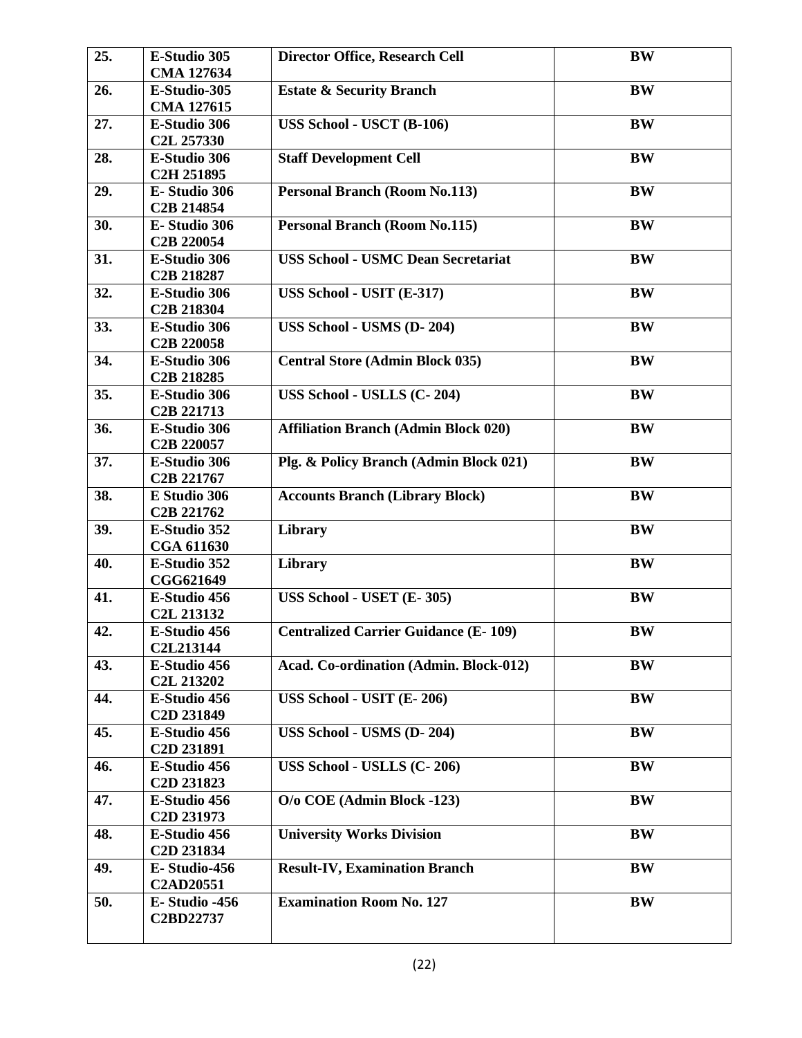| 25. | E-Studio 305<br><b>CMA 127634</b>                  | <b>Director Office, Research Cell</b>       | <b>BW</b> |
|-----|----------------------------------------------------|---------------------------------------------|-----------|
| 26. | E-Studio-305<br>CMA 127615                         | <b>Estate &amp; Security Branch</b>         | <b>BW</b> |
| 27. | E-Studio 306<br>C <sub>2</sub> L 257330            | USS School - USCT (B-106)                   | <b>BW</b> |
| 28. | E-Studio 306<br>C <sub>2</sub> H <sub>251895</sub> | <b>Staff Development Cell</b>               | <b>BW</b> |
| 29. | E-Studio 306<br>C <sub>2</sub> B <sub>214854</sub> | <b>Personal Branch (Room No.113)</b>        | <b>BW</b> |
| 30. | E-Studio 306<br>C <sub>2</sub> B <sub>220054</sub> | <b>Personal Branch (Room No.115)</b>        | <b>BW</b> |
| 31. | E-Studio 306<br>C <sub>2</sub> B <sub>218287</sub> | <b>USS School - USMC Dean Secretariat</b>   | <b>BW</b> |
| 32. | E-Studio 306<br>C <sub>2</sub> B <sub>218304</sub> | USS School - USIT (E-317)                   | <b>BW</b> |
| 33. | E-Studio 306<br>C <sub>2</sub> B <sub>220058</sub> | USS School - USMS (D-204)                   | <b>BW</b> |
| 34. | E-Studio 306<br>C <sub>2</sub> B <sub>218285</sub> | <b>Central Store (Admin Block 035)</b>      | <b>BW</b> |
| 35. | E-Studio 306<br>C <sub>2</sub> B <sub>221713</sub> | USS School - USLLS (C-204)                  | <b>BW</b> |
| 36. | E-Studio 306<br>C <sub>2</sub> B <sub>220057</sub> | <b>Affiliation Branch (Admin Block 020)</b> | <b>BW</b> |
| 37. | E-Studio 306<br>C <sub>2</sub> B <sub>221767</sub> | Plg. & Policy Branch (Admin Block 021)      | <b>BW</b> |
| 38. | E Studio 306<br>C <sub>2</sub> B <sub>221762</sub> | <b>Accounts Branch (Library Block)</b>      | <b>BW</b> |
| 39. | E-Studio 352<br>CGA 611630                         | Library                                     | <b>BW</b> |
| 40. | E-Studio 352<br>CGG621649                          | <b>Library</b>                              | <b>BW</b> |
| 41. | E-Studio 456<br>C <sub>2</sub> L <sub>213132</sub> | USS School - USET (E-305)                   | BW        |
| 42. | E-Studio 456<br>C2L213144                          | <b>Centralized Carrier Guidance (E-109)</b> | <b>BW</b> |
| 43. | E-Studio 456<br>C <sub>2</sub> L <sub>213202</sub> | Acad. Co-ordination (Admin. Block-012)      | <b>BW</b> |
| 44. | E-Studio 456<br>C <sub>2</sub> D <sub>231849</sub> | USS School - USIT (E-206)                   | <b>BW</b> |
| 45. | E-Studio 456<br>C <sub>2</sub> D <sub>231891</sub> | USS School - USMS (D-204)                   | <b>BW</b> |
| 46. | E-Studio 456<br>C <sub>2</sub> D <sub>231823</sub> | USS School - USLLS (C-206)                  | <b>BW</b> |
| 47. | E-Studio 456<br>C <sub>2</sub> D <sub>231973</sub> | O/o COE (Admin Block -123)                  | BW        |
| 48. | E-Studio 456<br>C <sub>2</sub> D <sub>231834</sub> | <b>University Works Division</b>            | <b>BW</b> |
| 49. | E-Studio-456<br><b>C2AD20551</b>                   | <b>Result-IV, Examination Branch</b>        | <b>BW</b> |
| 50. | E-Studio -456<br>C2BD22737                         | <b>Examination Room No. 127</b>             | <b>BW</b> |